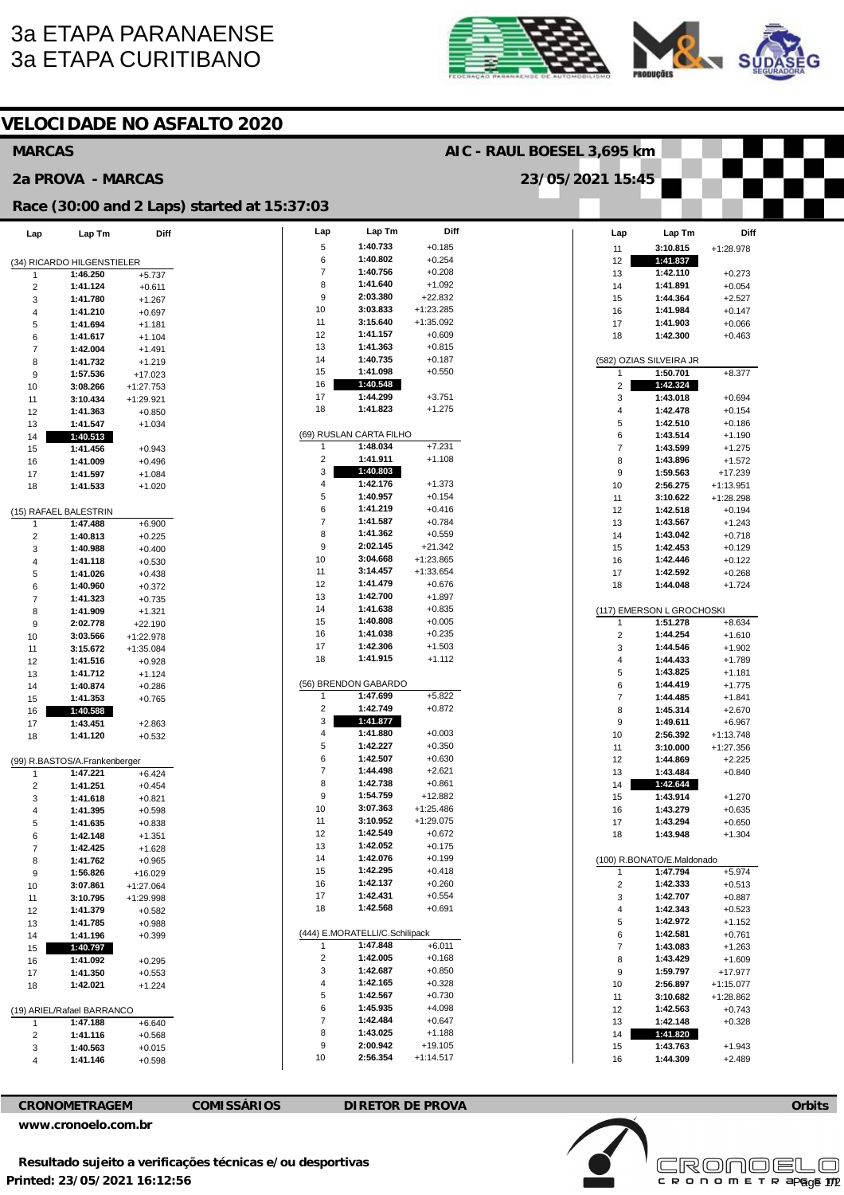## **3a ETAPA PARANAENSE 3a ETAPA CURITIBANO**





| <b>VELOCIDADE NO ASFALTO 2020</b>       |                                           |                         |                                             |                            |                                |                      |  |                              |                                        |                            |  |
|-----------------------------------------|-------------------------------------------|-------------------------|---------------------------------------------|----------------------------|--------------------------------|----------------------|--|------------------------------|----------------------------------------|----------------------------|--|
| <b>MARCAS</b>                           |                                           |                         |                                             | AIC - RAUL BOESEL 3,695 km |                                |                      |  |                              |                                        |                            |  |
| 2a PROVA - MARCAS                       |                                           |                         |                                             | 23/05/2021 15:45           |                                |                      |  |                              |                                        |                            |  |
|                                         |                                           |                         | Race (30:00 and 2 Laps) started at 15:37:03 |                            |                                |                      |  |                              |                                        |                            |  |
| Lap                                     | Lap Tm                                    | <b>Diff</b>             |                                             | Lap                        | Lap Tm                         | Diff                 |  | Lap                          | Lap Tm                                 | Diff                       |  |
|                                         |                                           |                         |                                             | $\,$ 5 $\,$<br>6           | 1:40.733<br>1:40.802           | $+0.185$             |  | 11                           | 3:10.815                               | $+1:28.978$                |  |
| 1                                       | (34) RICARDO HILGENSTIELER<br>1:46.250    | $+5.737$                |                                             | $\overline{7}$             | 1:40.756                       | $+0.254$<br>$+0.208$ |  | 12<br>13                     | 1:41.837<br>1:42.110                   | $+0.273$                   |  |
| $\overline{\mathbf{c}}$                 | 1:41.124                                  | $+0.611$                |                                             | 8                          | 1:41.640                       | $+1.092$             |  | 14                           | 1:41.891                               | $+0.054$                   |  |
| 3                                       | 1:41.780                                  | $+1.267$                |                                             | 9                          | 2:03.380                       | $+22.832$            |  | 15                           | 1:44.364                               | $+2.527$                   |  |
| 4                                       | 1:41.210                                  | $+0.697$                |                                             | 10                         | 3:03.833                       | $+1:23.285$          |  | 16                           | 1:41.984                               | +0.147                     |  |
| 5                                       | 1:41.694                                  | $+1.181$                |                                             | 11                         | 3:15.640                       | $+1:35.092$          |  | 17                           | 1:41.903                               | $+0.066$                   |  |
| 6                                       | 1:41.617                                  | $+1.104$                |                                             | 12                         | 1:41.157                       | $+0.609$             |  | 18                           | 1:42.300                               | $+0.463$                   |  |
| 7                                       | 1:42.004                                  | $+1.491$                |                                             | 13                         | 1:41.363                       | $+0.815$             |  |                              |                                        |                            |  |
| 8                                       | 1:41.732                                  | $+1.219$                |                                             | 14                         | 1:40.735<br>1:41.098           | $+0.187$             |  |                              | (582) OZIAS SILVEIRA JR                |                            |  |
| 9                                       | 1:57.536                                  | $+17.023$               |                                             | 15<br>16                   | 1:40.548                       | $+0.550$             |  | 1                            | 1:50.701                               | $+8.377$                   |  |
| 10                                      | 3:08.266                                  | $+1:27.753$             |                                             | 17                         | 1:44.299                       | $+3.751$             |  | $\overline{\mathbf{c}}$<br>3 | 1:42.324<br>1:43.018                   | $+0.694$                   |  |
| 11<br>12                                | 3:10.434<br>1:41.363                      | +1:29.921<br>$+0.850$   |                                             | 18                         | 1:41.823                       | $+1.275$             |  | 4                            | 1:42.478                               | $+0.154$                   |  |
| 13                                      | 1:41.547                                  | $+1.034$                |                                             |                            |                                |                      |  | 5                            | 1:42.510                               | $+0.186$                   |  |
| 14                                      | 1:40.513                                  |                         |                                             |                            | (69) RUSLAN CARTA FILHO        |                      |  | 6                            | 1:43.514                               | $+1.190$                   |  |
| 15                                      | 1:41.456                                  | $+0.943$                |                                             | 1                          | 1:48.034                       | $+7.231$             |  | $\overline{7}$               | 1:43.599                               | $+1.275$                   |  |
| 16                                      | 1:41.009                                  | $+0.496$                |                                             | $\overline{2}$             | 1:41.911                       | $+1.108$             |  | 8                            | 1:43.896                               | $+1.572$                   |  |
| 17                                      | 1:41.597                                  | $+1.084$                |                                             | 3                          | 1:40.803                       |                      |  | 9                            | 1:59.563                               | +17.239                    |  |
| 18                                      | 1:41.533                                  | $+1.020$                |                                             | 4                          | 1:42.176                       | $+1.373$             |  | 10                           | 2:56.275                               | $+1:13.951$                |  |
|                                         |                                           |                         |                                             | 5<br>6                     | 1:40.957<br>1:41.219           | $+0.154$<br>$+0.416$ |  | 11                           | 3:10.622                               | $+1:28.298$                |  |
|                                         | (15) RAFAEL BALESTRIN                     |                         |                                             | $\overline{7}$             | 1:41.587                       | $+0.784$             |  | 12<br>13                     | 1:42.518<br>1:43.567                   | $+0.194$<br>$+1.243$       |  |
| $\mathbf{1}$<br>$\overline{\mathbf{c}}$ | 1:47.488<br>1:40.813                      | $+6.900$<br>$+0.225$    |                                             | 8                          | 1:41.362                       | $+0.559$             |  | 14                           | 1:43.042                               | $+0.718$                   |  |
| 3                                       | 1:40.988                                  | $+0.400$                |                                             | 9                          | 2:02.145                       | $+21.342$            |  | 15                           | 1:42.453                               | $+0.129$                   |  |
| 4                                       | 1:41.118                                  | $+0.530$                |                                             | 10                         | 3:04.668                       | $+1:23.865$          |  | 16                           | 1:42.446                               | $+0.122$                   |  |
| 5                                       | 1:41.026                                  | $+0.438$                |                                             | 11                         | 3:14.457                       | $+1:33.654$          |  | 17                           | 1:42.592                               | $+0.268$                   |  |
| 6                                       | 1:40.960                                  | $+0.372$                |                                             | 12                         | 1:41.479                       | $+0.676$             |  | 18                           | 1:44.048                               | $+1.724$                   |  |
| 7                                       | 1:41.323                                  | $+0.735$                |                                             | 13                         | 1:42.700                       | $+1.897$             |  |                              |                                        |                            |  |
| 8                                       | 1:41.909                                  | $+1.321$                |                                             | 14                         | 1:41.638                       | $+0.835$             |  |                              | (117) EMERSON L GROCHOSKI              |                            |  |
| 9                                       | 2:02.778                                  | $+22.190$               |                                             | 15<br>16                   | 1:40.808<br>1:41.038           | $+0.005$<br>$+0.235$ |  | 1                            | 1:51.278                               | $+8.634$                   |  |
| 10                                      | 3:03.566                                  | +1:22.978               |                                             | 17                         | 1:42.306                       | $+1.503$             |  | $\overline{\mathbf{c}}$<br>3 | 1:44.254<br>1:44.546                   | $+1.610$<br>$+1.902$       |  |
| 11<br>12                                | 3:15.672<br>1:41.516                      | $+1:35.084$<br>$+0.928$ |                                             | 18                         | 1:41.915                       | $+1.112$             |  | 4                            | 1:44.433                               | $+1.789$                   |  |
| 13                                      | 1:41.712                                  | $+1.124$                |                                             |                            |                                |                      |  | 5                            | 1:43.825                               | $+1.181$                   |  |
| 14                                      | 1:40.874                                  | $+0.286$                |                                             |                            | (56) BRENDON GABARDO           |                      |  | 6                            | 1:44.419                               | $+1.775$                   |  |
| 15                                      | 1:41.353                                  | $+0.765$                |                                             | $\mathbf{1}$               | 1:47.699                       | $+5.822$             |  | $\overline{7}$               | 1:44.485                               | $+1.841$                   |  |
| 16                                      | 1:40.588                                  |                         |                                             | $\overline{c}$             | 1:42.749                       | $+0.872$             |  | 8                            | 1:45.314                               | $+2.670$                   |  |
| 17                                      | 1:43.451                                  | $+2.863$                |                                             | 3                          | 1:41.877                       |                      |  | 9                            | 1:49.611                               | $+6.967$                   |  |
| 18                                      | 1:41.120                                  | $+0.532$                |                                             | 4<br>5                     | 1:41.880<br>1:42.227           | $+0.003$<br>$+0.350$ |  | 10                           | 2:56.392                               | $+1:13.748$                |  |
|                                         |                                           |                         |                                             | 6                          | 1:42.507                       | $+0.630$             |  | 11<br>12                     | 3:10.000<br>1:44.869                   | +1:27.356<br>$+2.225$      |  |
| 1                                       | (99) R.BASTOS/A.Frankenberger<br>1:47.221 | $+6.424$                |                                             | $\overline{7}$             | 1:44.498                       | $+2.621$             |  | 13                           | 1:43.484                               | $+0.840$                   |  |
| $\overline{c}$                          | 1:41.251                                  | $+0.454$                |                                             | 8                          | 1:42.738                       | $+0.861$             |  | 14                           | 1:42.644                               |                            |  |
| 3                                       | 1:41.618                                  | $+0.821$                |                                             | 9                          | 1:54.759                       | +12.882              |  | 15                           | 1:43.914                               | $+1.270$                   |  |
| 4                                       | 1:41.395                                  | $+0.598$                |                                             | 10                         | 3:07.363                       | $+1:25.486$          |  | 16                           | 1:43.279                               | $+0.635$                   |  |
| 5                                       | 1:41.635                                  | $+0.838$                |                                             | 11                         | 3:10.952                       | $+1:29.075$          |  | 17                           | 1:43.294                               | $+0.650$                   |  |
| 6                                       | 1:42.148                                  | $+1.351$                |                                             | 12                         | 1:42.549                       | $+0.672$             |  | 18                           | 1:43.948                               | $+1.304$                   |  |
| $\overline{7}$                          | 1:42.425                                  | $+1.628$                |                                             | 13<br>14                   | 1:42.052<br>1:42.076           | $+0.175$<br>$+0.199$ |  |                              |                                        |                            |  |
| 8<br>9                                  | 1:41.762<br>1:56.826                      | $+0.965$<br>$+16.029$   |                                             | 15                         | 1:42.295                       | $+0.418$             |  | 1                            | (100) R.BONATO/E.Maldonado<br>1:47.794 | $+5.974$                   |  |
| 10                                      | 3:07.861                                  | $+1:27.064$             |                                             | 16                         | 1:42.137                       | $+0.260$             |  | 2                            | 1:42.333                               | $+0.513$                   |  |
| 11                                      | 3:10.795                                  | +1:29.998               |                                             | 17                         | 1:42.431                       | $+0.554$             |  | 3                            | 1:42.707                               | $+0.887$                   |  |
| 12                                      | 1:41.379                                  | $+0.582$                |                                             | 18                         | 1:42.568                       | $+0.691$             |  | 4                            | 1:42.343                               | $+0.523$                   |  |
| 13                                      | 1:41.785                                  | $+0.988$                |                                             |                            |                                |                      |  | 5                            | 1:42.972                               | $+1.152$                   |  |
| 14                                      | 1:41.196                                  | $+0.399$                |                                             |                            | (444) E.MORATELLI/C.Schilipack |                      |  | 6                            | 1:42.581                               | $+0.761$                   |  |
| 15                                      | 1:40.797                                  |                         |                                             | 1                          | 1:47.848                       | $+6.011$             |  | $\overline{\mathcal{I}}$     | 1:43.083                               | $+1.263$                   |  |
| 16                                      | 1:41.092                                  | $+0.295$                |                                             | 2                          | 1:42.005                       | $+0.168$             |  | 8                            | 1:43.429                               | $+1.609$                   |  |
| 17                                      | 1:41.350                                  | $+0.553$                |                                             | 3<br>4                     | 1:42.687<br>1:42.165           | $+0.850$<br>$+0.328$ |  | 9<br>10                      | 1:59.797<br>2:56.897                   | +17.977                    |  |
| 18                                      | 1:42.021                                  | $+1.224$                |                                             | 5                          | 1:42.567                       | $+0.730$             |  | 11                           | 3:10.682                               | $+1:15.077$<br>$+1:28.862$ |  |
|                                         | (19) ARIEL/Rafael BARRANCO                |                         |                                             | 6                          | 1:45.935                       | $+4.098$             |  | 12                           | 1:42.563                               | $+0.743$                   |  |
| 1                                       | 1:47.188                                  | $+6.640$                |                                             | $\overline{7}$             | 1:42.484                       | $+0.647$             |  | 13                           | 1:42.148                               | $+0.328$                   |  |
| $\overline{2}$                          | 1:41.116                                  | $+0.568$                |                                             | 8                          | 1:43.025                       | $+1.188$             |  | 14                           | 1:41.820                               |                            |  |
| 3                                       | 1:40.563                                  | $+0.015$                |                                             | 9                          | 2:00.942                       | $+19.105$            |  | 15                           | 1:43.763                               | $+1.943$                   |  |
| 4                                       | 1:41.146                                  | $+0.598$                |                                             | 10                         | 2:56.354                       | $+1:14.517$          |  | 16                           | 1:44.309                               | $+2.489$                   |  |

CRONOMETRAGEM

**COMISSÁRIOS** 

**DIRETOR DE PROVA** 





Orbits